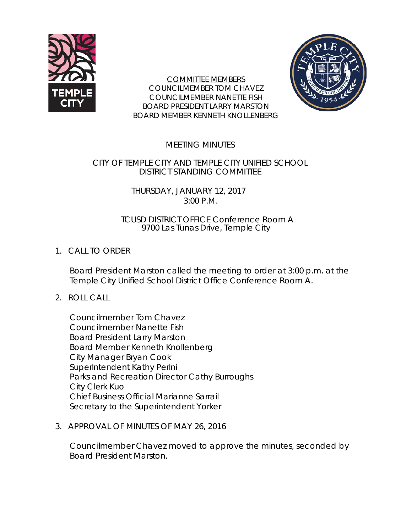

COMMITTEE MEMBERS COUNCILMEMBER TOM CHAVEZ COUNCILMEMBER NANETTE FISH BOARD PRESIDENT LARRY MARSTON BOARD MEMBER KENNETH KNOLLENBERG



# MEETING MINUTES

## CITY OF TEMPLE CITY AND TEMPLE CITY UNIFIED SCHOOL DISTRICT STANDING COMMITTEE

### THURSDAY, JANUARY 12, 2017 3:00 P.M.

#### TCUSD DISTRICT OFFICE Conference Room A 9700 Las Tunas Drive, Temple City

# 1. CALL TO ORDER

Board President Marston called the meeting to order at 3:00 p.m. at the Temple City Unified School District Office Conference Room A.

## 2. ROLL CALL

Councilmember Tom Chavez Councilmember Nanette Fish Board President Larry Marston Board Member Kenneth Knollenberg City Manager Bryan Cook Superintendent Kathy Perini Parks and Recreation Director Cathy Burroughs City Clerk Kuo Chief Business Official Marianne Sarrail Secretary to the Superintendent Yorker

3. APPROVAL OF MINUTES OF MAY 26, 2016

Councilmember Chavez moved to approve the minutes, seconded by Board President Marston.